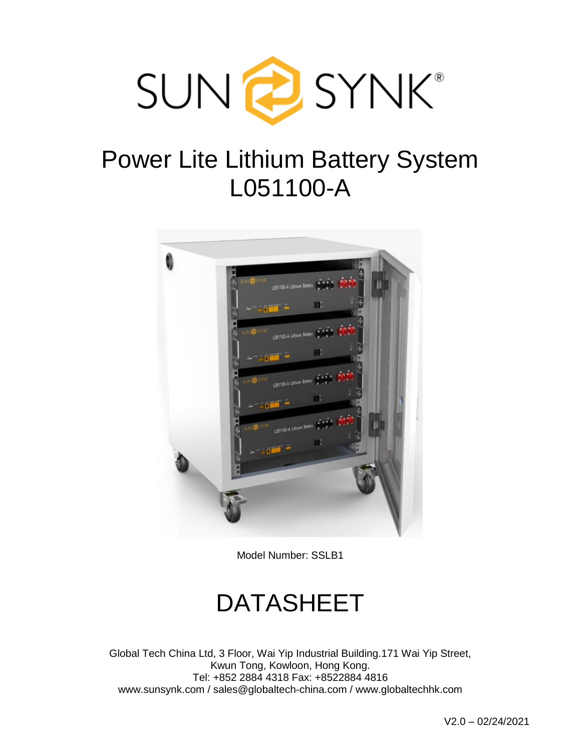

# Power Lite Lithium Battery System L051100-A



Model Number: SSLB1

# DATASHEET

Global Tech China Ltd, 3 Floor, Wai Yip Industrial Building.171 Wai Yip Street, Kwun Tong, Kowloon, Hong Kong. Tel: +852 2884 4318 Fax: +8522884 4816 www.sunsynk.com / sales@globaltech-china.com / www.globaltechhk.com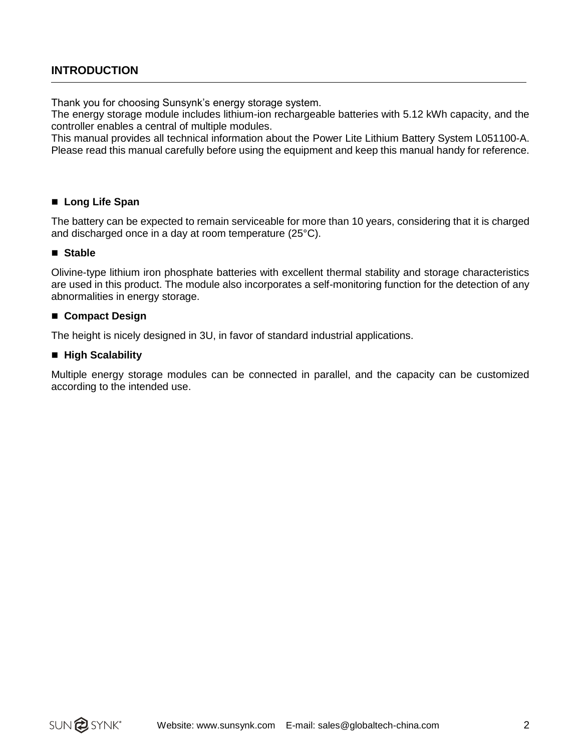### **INTRODUCTION**

Thank you for choosing Sunsynk's energy storage system.

The energy storage module includes lithium-ion rechargeable batteries with 5.12 kWh capacity, and the controller enables a central of multiple modules.

This manual provides all technical information about the Power Lite Lithium Battery System L051100-A. Please read this manual carefully before using the equipment and keep this manual handy for reference.

#### ■ Long Life Span

The battery can be expected to remain serviceable for more than 10 years, considering that it is charged and discharged once in a day at room temperature (25°C).

#### ■ Stable

Olivine-type lithium iron phosphate batteries with excellent thermal stability and storage characteristics are used in this product. The module also incorporates a self-monitoring function for the detection of any abnormalities in energy storage.

#### ■ Compact Design

The height is nicely designed in 3U, in favor of standard industrial applications.

#### ■ High Scalability

Multiple energy storage modules can be connected in parallel, and the capacity can be customized according to the intended use.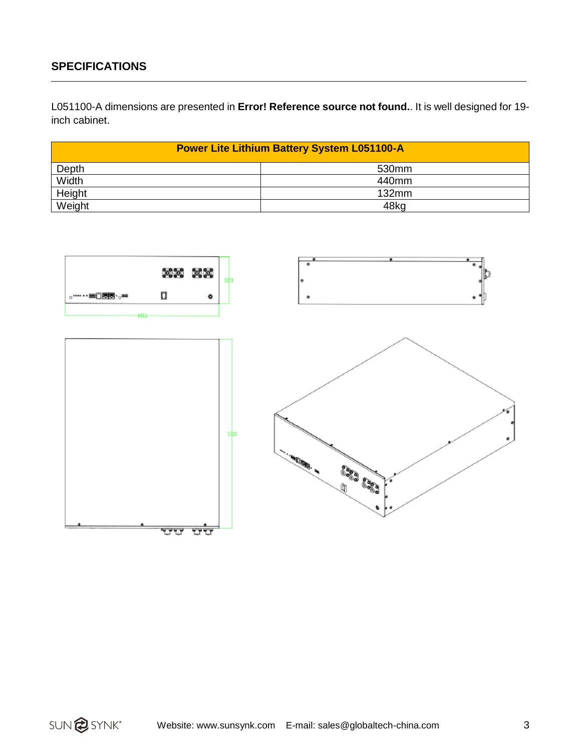### **SPECIFICATIONS**

L051100-A dimensions are presented in **Error! Reference source not found.**. It is well designed for 19 inch cabinet.

| <b>Power Lite Lithium Battery System L051100-A</b> |                   |
|----------------------------------------------------|-------------------|
| Depth                                              | 530 <sub>mm</sub> |
| Width                                              | 440mm             |
| Height                                             | $132$ mm          |
| Weight                                             | 48kg              |

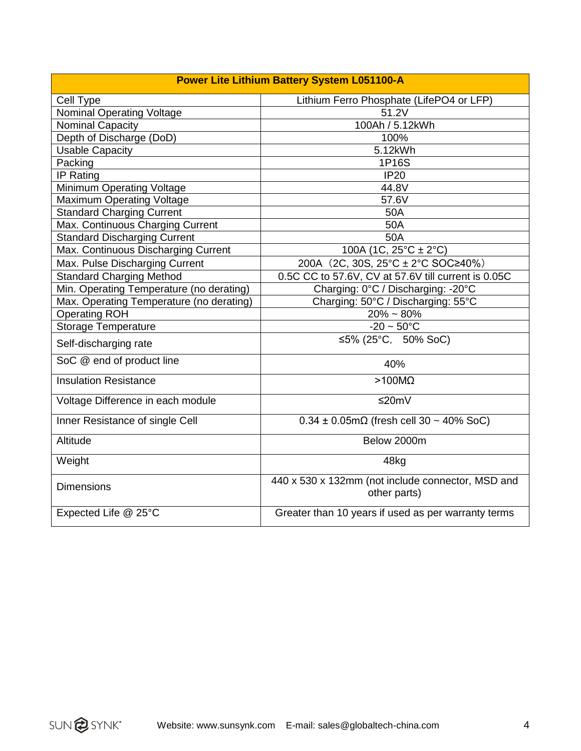| Cell Type                                | Lithium Ferro Phosphate (LifePO4 or LFP)                          |
|------------------------------------------|-------------------------------------------------------------------|
| <b>Nominal Operating Voltage</b>         | 51.2V                                                             |
| <b>Nominal Capacity</b>                  | 100Ah / 5.12kWh                                                   |
| Depth of Discharge (DoD)                 | 100%                                                              |
| <b>Usable Capacity</b>                   | 5.12kWh                                                           |
| Packing                                  | 1P16S                                                             |
| IP Rating                                | <b>IP20</b>                                                       |
| Minimum Operating Voltage                | 44.8V                                                             |
| <b>Maximum Operating Voltage</b>         | 57.6V                                                             |
| <b>Standard Charging Current</b>         | 50A                                                               |
| Max. Continuous Charging Current         | 50A                                                               |
| <b>Standard Discharging Current</b>      | 50A                                                               |
| Max. Continuous Discharging Current      | 100A (1C, $25^{\circ}$ C ± 2 $^{\circ}$ C)                        |
| Max. Pulse Discharging Current           | 200A (2C, 30S, $25^{\circ}$ C ± 2°C SOC≥40%)                      |
| <b>Standard Charging Method</b>          | 0.5C CC to 57.6V, CV at 57.6V till current is 0.05C               |
| Min. Operating Temperature (no derating) | Charging: 0°C / Discharging: -20°C                                |
| Max. Operating Temperature (no derating) | Charging: 50°C / Discharging: 55°C                                |
| <b>Operating ROH</b>                     | $20\% \sim 80\%$                                                  |
| <b>Storage Temperature</b>               | $-20 \sim 50^{\circ}$ C                                           |
| Self-discharging rate                    | ≤5% (25°C, 50% SoC)                                               |
| SoC @ end of product line                | 40%                                                               |
| <b>Insulation Resistance</b>             | $>100M\Omega$                                                     |
| Voltage Difference in each module        | $≤20mV$                                                           |
| Inner Resistance of single Cell          | $0.34 \pm 0.05$ m $\Omega$ (fresh cell 30 ~ 40% SoC)              |
| Altitude                                 | Below 2000m                                                       |
| Weight                                   | 48kg                                                              |
| <b>Dimensions</b>                        | 440 x 530 x 132mm (not include connector, MSD and<br>other parts) |
| Expected Life @ 25°C                     | Greater than 10 years if used as per warranty terms               |

SUN<sup>2</sup>SYNK\*